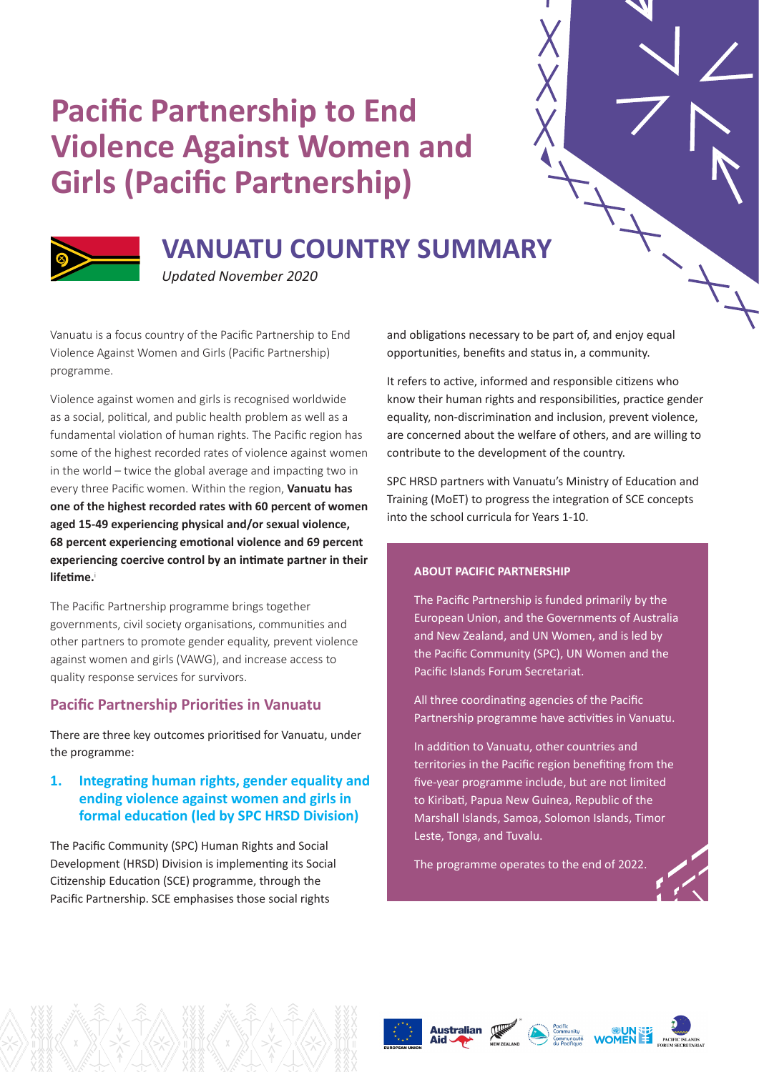# **Pacific Partnership to End Violence Against Women and Girls (Pacific Partnership)**



# **VANUATU COUNTRY SUMMARY**

*Updated November 2020*

Vanuatu is a focus country of the Pacific Partnership to End Violence Against Women and Girls (Pacific Partnership) programme.

Violence against women and girls is recognised worldwide as a social, political, and public health problem as well as a fundamental violation of human rights. The Pacific region has some of the highest recorded rates of violence against women in the world – twice the global average and impacting two in every three Pacific women. Within the region, **Vanuatu has one of the highest recorded rates with 60 percent of women aged 15-49 experiencing physical and/or sexual violence, 68 percent experiencing emotional violence and 69 percent experiencing coercive control by an intimate partner in their lifetime.**<sup>i</sup>

The Pacific Partnership programme brings together governments, civil society organisations, communities and other partners to promote gender equality, prevent violence against women and girls (VAWG), and increase access to quality response services for survivors.

# **Pacific Partnership Priorities in Vanuatu**

There are three key outcomes prioritised for Vanuatu, under the programme:

# **1. Integrating human rights, gender equality and ending violence against women and girls in formal education (led by SPC HRSD Division)**

The Pacific Community (SPC) Human Rights and Social Development (HRSD) Division is implementing its Social Citizenship Education (SCE) programme, through the Pacific Partnership. SCE emphasises those social rights

and obligations necessary to be part of, and enjoy equal opportunities, benefits and status in, a community.

It refers to active, informed and responsible citizens who know their human rights and responsibilities, practice gender equality, non-discrimination and inclusion, prevent violence, are concerned about the welfare of others, and are willing to contribute to the development of the country.

SPC HRSD partners with Vanuatu's Ministry of Education and Training (MoET) to progress the integration of SCE concepts into the school curricula for Years 1-10.

#### **ABOUT PACIFIC PARTNERSHIP**

The Pacific Partnership is funded primarily by the European Union, and the Governments of Australia and New Zealand, and UN Women, and is led by the Pacific Community (SPC), UN Women and the Pacific Islands Forum Secretariat.

All three coordinating agencies of the Pacific Partnership programme have activities in Vanuatu.

In addition to Vanuatu, other countries and territories in the Pacific region benefiting from the five-year programme include, but are not limited to Kiribati, Papua New Guinea, Republic of the Marshall Islands, Samoa, Solomon Islands, Timor Leste, Tonga, and Tuvalu.

The programme operates to the end of 2022.







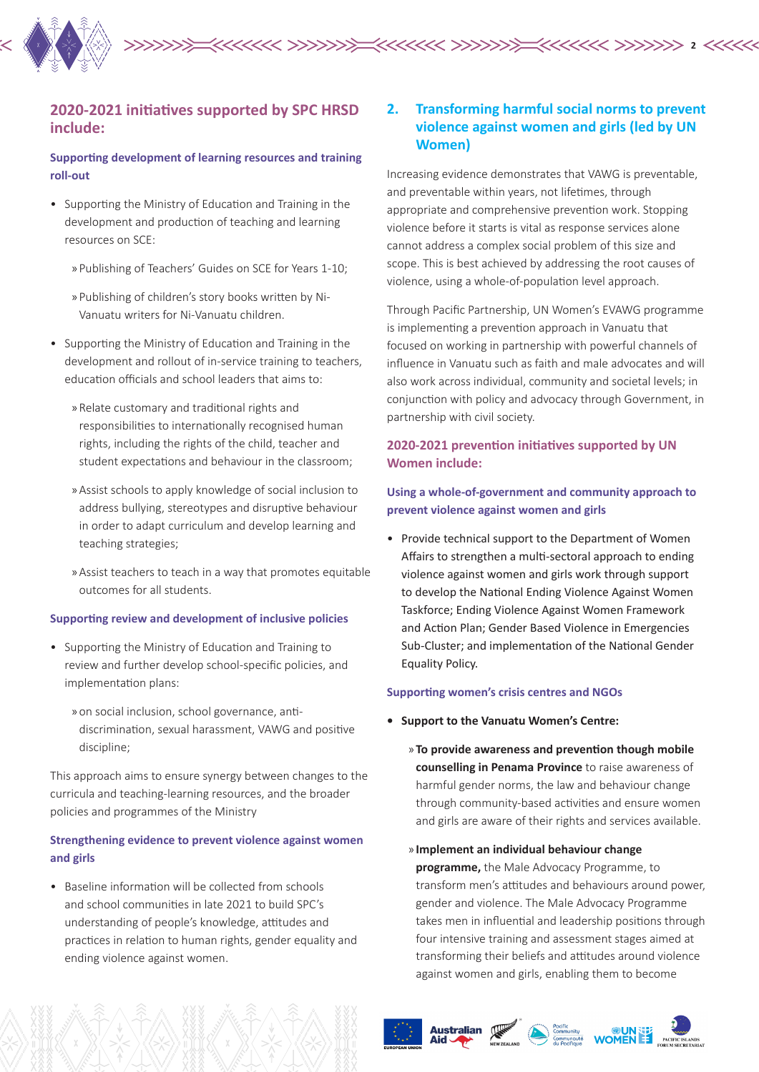

# **2020-2021 initiatives supported by SPC HRSD include:**

# **Supporting development of learning resources and training roll-out**

- Supporting the Ministry of Education and Training in the development and production of teaching and learning resources on SCE:
	- » Publishing of Teachers' Guides on SCE for Years 1-10;
	- » Publishing of children's story books written by Ni-Vanuatu writers for Ni-Vanuatu children.
- Supporting the Ministry of Education and Training in the development and rollout of in-service training to teachers, education officials and school leaders that aims to:
	- » Relate customary and traditional rights and responsibilities to internationally recognised human rights, including the rights of the child, teacher and student expectations and behaviour in the classroom;
	- » Assist schools to apply knowledge of social inclusion to address bullying, stereotypes and disruptive behaviour in order to adapt curriculum and develop learning and teaching strategies;
	- » Assist teachers to teach in a way that promotes equitable outcomes for all students.

#### **Supporting review and development of inclusive policies**

- Supporting the Ministry of Education and Training to review and further develop school-specific policies, and implementation plans:
	- » on social inclusion, school governance, antidiscrimination, sexual harassment, VAWG and positive discipline;

This approach aims to ensure synergy between changes to the curricula and teaching-learning resources, and the broader policies and programmes of the Ministry

# **Strengthening evidence to prevent violence against women and girls**

• Baseline information will be collected from schools and school communities in late 2021 to build SPC's understanding of people's knowledge, attitudes and practices in relation to human rights, gender equality and ending violence against women.

# **2. Transforming harmful social norms to prevent violence against women and girls (led by UN Women)**

Increasing evidence demonstrates that VAWG is preventable, and preventable within years, not lifetimes, through appropriate and comprehensive prevention work. Stopping violence before it starts is vital as response services alone cannot address a complex social problem of this size and scope. This is best achieved by addressing the root causes of violence, using a whole-of-population level approach.

Through Pacific Partnership, UN Women's EVAWG programme is implementing a prevention approach in Vanuatu that focused on working in partnership with powerful channels of influence in Vanuatu such as faith and male advocates and will also work across individual, community and societal levels; in conjunction with policy and advocacy through Government, in partnership with civil society.

## **2020-2021 prevention initiatives supported by UN Women include:**

# **Using a whole-of-government and community approach to prevent violence against women and girls**

• Provide technical support to the Department of Women Affairs to strengthen a multi-sectoral approach to ending violence against women and girls work through support to develop the National Ending Violence Against Women Taskforce; Ending Violence Against Women Framework and Action Plan; Gender Based Violence in Emergencies Sub-Cluster; and implementation of the National Gender Equality Policy.

#### **Supporting women's crisis centres and NGOs**

- **• Support to the Vanuatu Women's Centre:**
	- » **To provide awareness and prevention though mobile counselling in Penama Province** to raise awareness of harmful gender norms, the law and behaviour change through community-based activities and ensure women and girls are aware of their rights and services available.
	- » **Implement an individual behaviour change programme,** the Male Advocacy Programme, to transform men's attitudes and behaviours around power, gender and violence. The Male Advocacy Programme takes men in influential and leadership positions through four intensive training and assessment stages aimed at transforming their beliefs and attitudes around violence against women and girls, enabling them to become





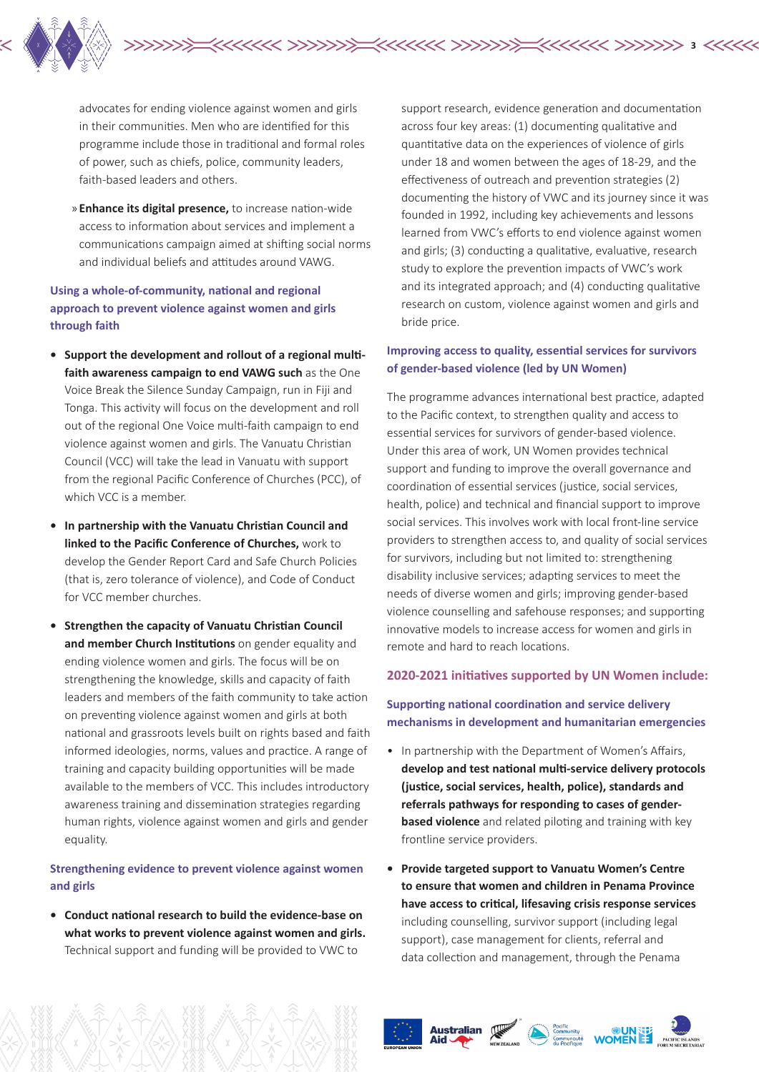

advocates for ending violence against women and girls in their communities. Men who are identified for this programme include those in traditional and formal roles of power, such as chiefs, police, community leaders, faith-based leaders and others.

» **Enhance its digital presence,** to increase nation-wide access to information about services and implement a communications campaign aimed at shifting social norms and individual beliefs and attitudes around VAWG.

# **Using a whole-of-community, national and regional approach to prevent violence against women and girls through faith**

- **• Support the development and rollout of a regional multifaith awareness campaign to end VAWG such** as the One Voice Break the Silence Sunday Campaign, run in Fiji and Tonga. This activity will focus on the development and roll out of the regional One Voice multi-faith campaign to end violence against women and girls. The Vanuatu Christian Council (VCC) will take the lead in Vanuatu with support from the regional Pacific Conference of Churches (PCC), of which VCC is a member.
- **• In partnership with the Vanuatu Christian Council and linked to the Pacific Conference of Churches,** work to develop the Gender Report Card and Safe Church Policies (that is, zero tolerance of violence), and Code of Conduct for VCC member churches.
- **• Strengthen the capacity of Vanuatu Christian Council and member Church Institutions** on gender equality and ending violence women and girls. The focus will be on strengthening the knowledge, skills and capacity of faith leaders and members of the faith community to take action on preventing violence against women and girls at both national and grassroots levels built on rights based and faith informed ideologies, norms, values and practice. A range of training and capacity building opportunities will be made available to the members of VCC. This includes introductory awareness training and dissemination strategies regarding human rights, violence against women and girls and gender equality.

## **Strengthening evidence to prevent violence against women and girls**

**• Conduct national research to build the evidence-base on what works to prevent violence against women and girls.** Technical support and funding will be provided to VWC to

support research, evidence generation and documentation across four key areas: (1) documenting qualitative and quantitative data on the experiences of violence of girls under 18 and women between the ages of 18-29, and the effectiveness of outreach and prevention strategies (2) documenting the history of VWC and its journey since it was founded in 1992, including key achievements and lessons learned from VWC's efforts to end violence against women and girls; (3) conducting a qualitative, evaluative, research study to explore the prevention impacts of VWC's work and its integrated approach; and (4) conducting qualitative research on custom, violence against women and girls and bride price.

**3**

# **Improving access to quality, essential services for survivors of gender-based violence (led by UN Women)**

The programme advances international best practice, adapted to the Pacific context, to strengthen quality and access to essential services for survivors of gender-based violence. Under this area of work, UN Women provides technical support and funding to improve the overall governance and coordination of essential services (justice, social services, health, police) and technical and financial support to improve social services. This involves work with local front-line service providers to strengthen access to, and quality of social services for survivors, including but not limited to: strengthening disability inclusive services; adapting services to meet the needs of diverse women and girls; improving gender-based violence counselling and safehouse responses; and supporting innovative models to increase access for women and girls in remote and hard to reach locations.

#### **2020-2021 initiatives supported by UN Women include:**

**Supporting national coordination and service delivery mechanisms in development and humanitarian emergencies**

- In partnership with the Department of Women's Affairs, **develop and test national multi-service delivery protocols (justice, social services, health, police), standards and referrals pathways for responding to cases of genderbased violence** and related piloting and training with key frontline service providers.
- **• Provide targeted support to Vanuatu Women's Centre to ensure that women and children in Penama Province have access to critical, lifesaving crisis response services**  including counselling, survivor support (including legal support), case management for clients, referral and data collection and management, through the Penama





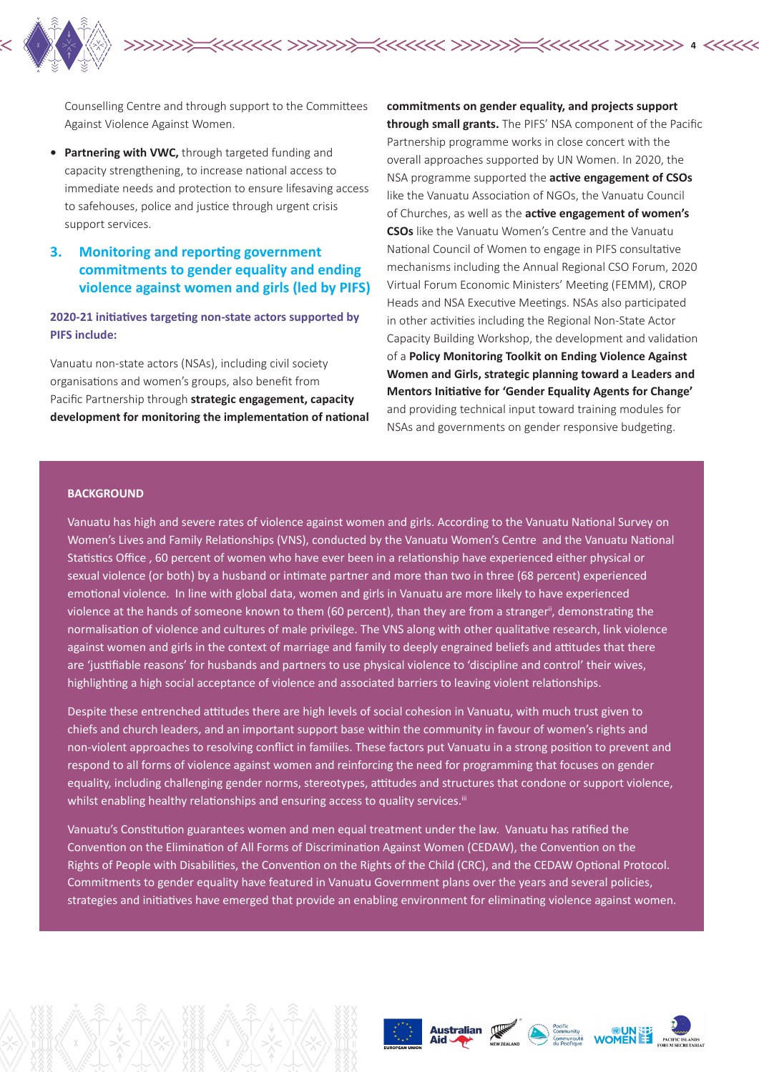

Counselling Centre and through support to the Committees Against Violence Against Women.

- **• Partnering with VWC,** through targeted funding and capacity strengthening, to increase national access to immediate needs and protection to ensure lifesaving access to safehouses, police and justice through urgent crisis support services.
- **3. Monitoring and reporting government commitments to gender equality and ending violence against women and girls (led by PIFS)**

**2020-21 initiatives targeting non-state actors supported by PIFS include:**

Vanuatu non-state actors (NSAs), including civil society organisations and women's groups, also benefit from Pacific Partnership through **strategic engagement, capacity development for monitoring the implementation of national**  **commitments on gender equality, and projects support through small grants.** The PIFS' NSA component of the Pacific Partnership programme works in close concert with the overall approaches supported by UN Women. In 2020, the NSA programme supported the **active engagement of CSOs**  like the Vanuatu Association of NGOs, the Vanuatu Council of Churches, as well as the **active engagement of women's CSOs** like the Vanuatu Women's Centre and the Vanuatu National Council of Women to engage in PIFS consultative mechanisms including the Annual Regional CSO Forum, 2020 Virtual Forum Economic Ministers' Meeting (FEMM), CROP Heads and NSA Executive Meetings. NSAs also participated in other activities including the Regional Non-State Actor Capacity Building Workshop, the development and validation of a **Policy Monitoring Toolkit on Ending Violence Against Women and Girls, strategic planning toward a Leaders and Mentors Initiative for 'Gender Equality Agents for Change'**  and providing technical input toward training modules for NSAs and governments on gender responsive budgeting.

**4**

#### **BACKGROUND**

Vanuatu has high and severe rates of violence against women and girls. According to the Vanuatu National Survey on Women's Lives and Family Relationships (VNS), conducted by the Vanuatu Women's Centre and the Vanuatu National Statistics Office , 60 percent of women who have ever been in a relationship have experienced either physical or sexual violence (or both) by a husband or intimate partner and more than two in three (68 percent) experienced emotional violence. In line with global data, women and girls in Vanuatu are more likely to have experienced violence at the hands of someone known to them (60 percent), than they are from a stranger<sup>ii</sup>, demonstrating the normalisation of violence and cultures of male privilege. The VNS along with other qualitative research, link violence against women and girls in the context of marriage and family to deeply engrained beliefs and attitudes that there are 'justifiable reasons' for husbands and partners to use physical violence to 'discipline and control' their wives, highlighting a high social acceptance of violence and associated barriers to leaving violent relationships.

Despite these entrenched attitudes there are high levels of social cohesion in Vanuatu, with much trust given to chiefs and church leaders, and an important support base within the community in favour of women's rights and non-violent approaches to resolving conflict in families. These factors put Vanuatu in a strong position to prevent and respond to all forms of violence against women and reinforcing the need for programming that focuses on gender equality, including challenging gender norms, stereotypes, attitudes and structures that condone or support violence, whilst enabling healthy relationships and ensuring access to quality services.<sup>iii</sup>

Vanuatu's Constitution guarantees women and men equal treatment under the law. Vanuatu has ratified the Convention on the Elimination of All Forms of Discrimination Against Women (CEDAW), the Convention on the Rights of People with Disabilities, the Convention on the Rights of the Child (CRC), and the CEDAW Optional Protocol. Commitments to gender equality have featured in Vanuatu Government plans over the years and several policies, strategies and initiatives have emerged that provide an enabling environment for eliminating violence against women.